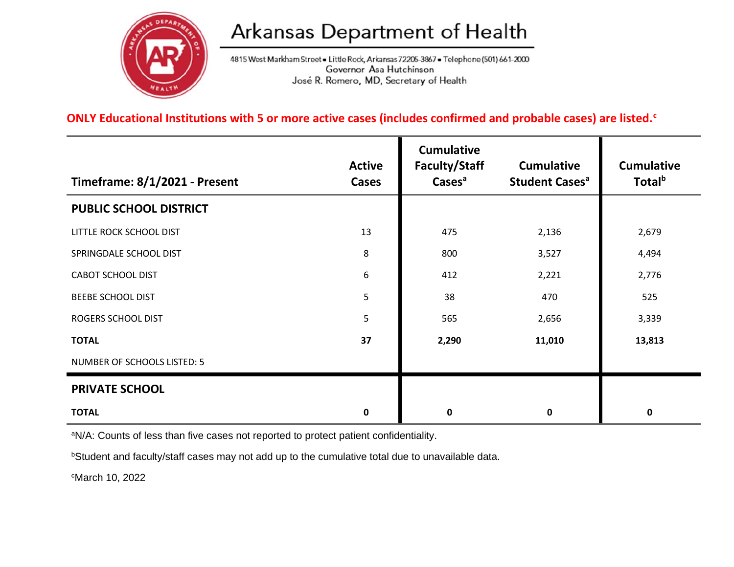

## Arkansas Department of Health

4815 West Markham Street . Little Rock, Arkansas 72205-3867 . Telephone (501) 661-2000 Governor Asa Hutchinson José R. Romero, MD, Secretary of Health

## **ONLY Educational Institutions with 5 or more active cases (includes confirmed and probable cases) are listed.<sup>c</sup>**

| Timeframe: 8/1/2021 - Present | <b>Active</b><br><b>Cases</b> | <b>Cumulative</b><br>Faculty/Staff<br>Cases <sup>a</sup> | <b>Cumulative</b><br><b>Student Cases<sup>a</sup></b> | <b>Cumulative</b><br>Total <sup>b</sup> |
|-------------------------------|-------------------------------|----------------------------------------------------------|-------------------------------------------------------|-----------------------------------------|
| PUBLIC SCHOOL DISTRICT        |                               |                                                          |                                                       |                                         |
| LITTLE ROCK SCHOOL DIST       | 13                            | 475                                                      | 2,136                                                 | 2,679                                   |
| SPRINGDALE SCHOOL DIST        | 8                             | 800                                                      | 3,527                                                 | 4,494                                   |
| <b>CABOT SCHOOL DIST</b>      | 6                             | 412                                                      | 2,221                                                 | 2,776                                   |
| <b>BEEBE SCHOOL DIST</b>      | 5                             | 38                                                       | 470                                                   | 525                                     |
| ROGERS SCHOOL DIST            | 5                             | 565                                                      | 2,656                                                 | 3,339                                   |
| <b>TOTAL</b>                  | 37                            | 2,290                                                    | 11,010                                                | 13,813                                  |
| NUMBER OF SCHOOLS LISTED: 5   |                               |                                                          |                                                       |                                         |
| <b>PRIVATE SCHOOL</b>         |                               |                                                          |                                                       |                                         |
| <b>TOTAL</b>                  | 0                             | 0                                                        | $\mathbf 0$                                           | 0                                       |

aN/A: Counts of less than five cases not reported to protect patient confidentiality.

**bStudent and faculty/staff cases may not add up to the cumulative total due to unavailable data.** 

<sup>c</sup>March 10, 2022